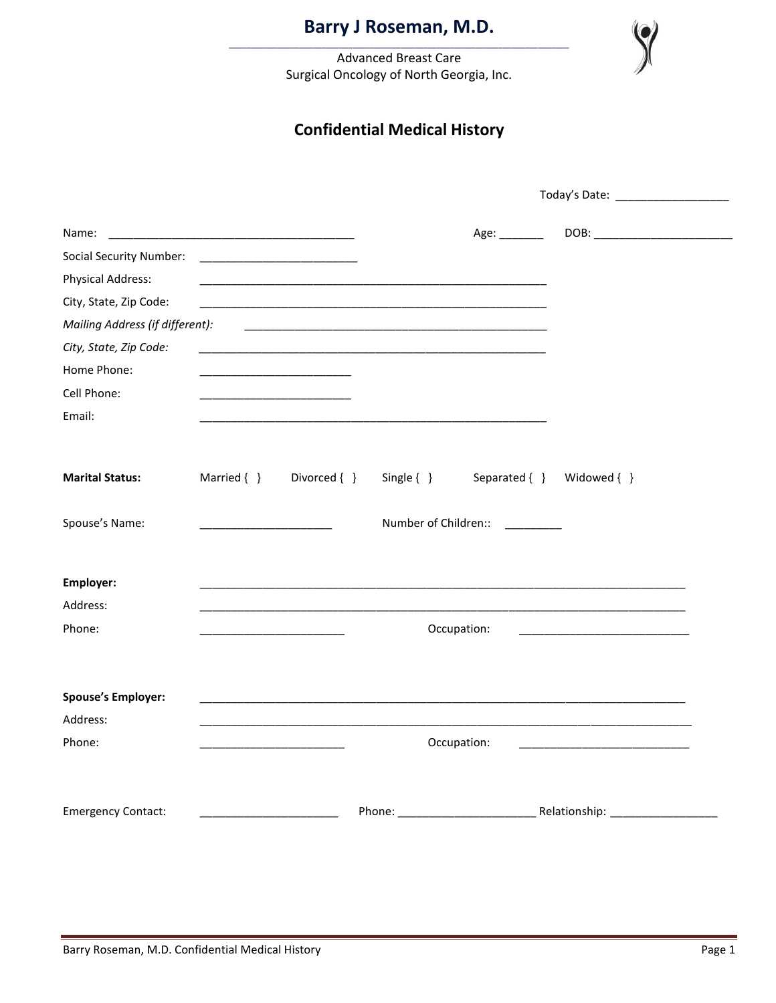**Advanced Breast Care** Surgical Oncology of North Georgia, Inc.

## **Confidential Medical History**

| <u> 1980 - Jan James James Barnett, mars et al. (</u><br>Name: |                 |                                                      |                      | Age: $\_\_\_\_\_\_\_\_\_\_\_\_\$ |                                                                                                                                                                                                                                |  |
|----------------------------------------------------------------|-----------------|------------------------------------------------------|----------------------|----------------------------------|--------------------------------------------------------------------------------------------------------------------------------------------------------------------------------------------------------------------------------|--|
| <b>Social Security Number:</b>                                 |                 |                                                      |                      |                                  |                                                                                                                                                                                                                                |  |
| <b>Physical Address:</b>                                       |                 |                                                      |                      |                                  |                                                                                                                                                                                                                                |  |
| City, State, Zip Code:                                         |                 |                                                      |                      |                                  |                                                                                                                                                                                                                                |  |
| Mailing Address (if different):                                |                 |                                                      |                      |                                  |                                                                                                                                                                                                                                |  |
| City, State, Zip Code:                                         |                 |                                                      |                      |                                  |                                                                                                                                                                                                                                |  |
| Home Phone:                                                    |                 |                                                      |                      |                                  |                                                                                                                                                                                                                                |  |
| Cell Phone:                                                    |                 | <u> 1989 - Johann Stoff, Amerikaansk politiker (</u> |                      |                                  |                                                                                                                                                                                                                                |  |
| Email:                                                         |                 |                                                      |                      |                                  |                                                                                                                                                                                                                                |  |
|                                                                |                 |                                                      |                      |                                  |                                                                                                                                                                                                                                |  |
| <b>Marital Status:</b>                                         | Married $\{ \}$ | Divorced { }                                         | Single $\{\}$        | Separated { } Widowed { }        |                                                                                                                                                                                                                                |  |
| Spouse's Name:                                                 |                 |                                                      | Number of Children:: | $\frac{1}{2}$                    |                                                                                                                                                                                                                                |  |
|                                                                |                 |                                                      |                      |                                  |                                                                                                                                                                                                                                |  |
| Employer:                                                      |                 |                                                      |                      |                                  |                                                                                                                                                                                                                                |  |
| Address:                                                       |                 |                                                      |                      |                                  |                                                                                                                                                                                                                                |  |
| Phone:                                                         |                 |                                                      |                      | Occupation:                      |                                                                                                                                                                                                                                |  |
|                                                                |                 |                                                      |                      |                                  |                                                                                                                                                                                                                                |  |
|                                                                |                 |                                                      |                      |                                  |                                                                                                                                                                                                                                |  |
| <b>Spouse's Employer:</b>                                      |                 |                                                      |                      |                                  |                                                                                                                                                                                                                                |  |
| Address:                                                       |                 |                                                      |                      |                                  |                                                                                                                                                                                                                                |  |
| Phone:                                                         |                 |                                                      |                      | Occupation:                      | <u> 1989 - Johann Harry Harry Harry Harry Harry Harry Harry Harry Harry Harry Harry Harry Harry Harry Harry Harry</u>                                                                                                          |  |
|                                                                |                 |                                                      |                      |                                  |                                                                                                                                                                                                                                |  |
| <b>Emergency Contact:</b>                                      |                 |                                                      |                      |                                  | Phone: Phone: Phone Phone Phone Phone Phone Phone Phone Phone Phone Phone Phone Phone Phone Phone Phone Phone Phone Phone Phone Phone Phone Phone Phone Phone Phone Phone Phone Phone Phone Phone Phone Phone Phone Phone Phon |  |
|                                                                |                 |                                                      |                      |                                  |                                                                                                                                                                                                                                |  |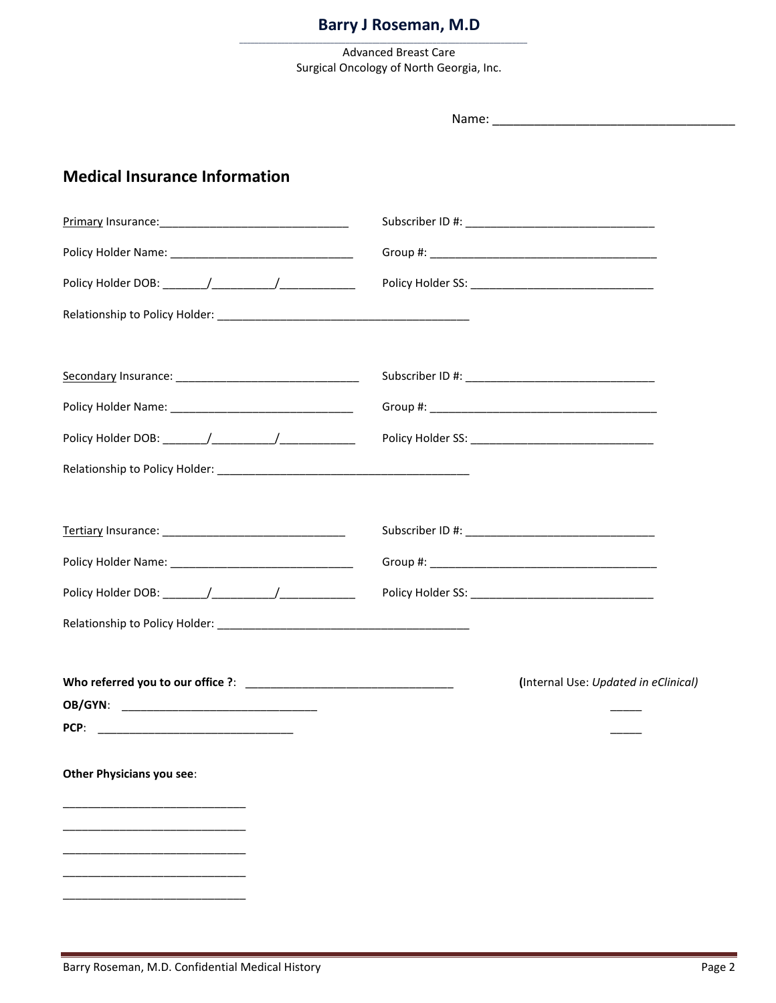\_\_\_\_\_\_\_\_\_\_\_\_\_\_\_\_\_\_\_\_\_\_\_\_\_\_\_\_\_\_\_\_\_\_\_\_\_\_\_\_\_\_\_\_\_\_\_\_\_\_\_\_\_\_\_\_\_\_\_\_\_\_\_\_\_\_\_\_\_\_\_\_\_\_\_\_

Advanced Breast Care Surgical Oncology of North Georgia, Inc.

| <b>Medical Insurance Information</b>                    |                                      |
|---------------------------------------------------------|--------------------------------------|
|                                                         |                                      |
|                                                         |                                      |
| Policy Holder DOB: _______/____________/_______________ |                                      |
|                                                         |                                      |
|                                                         |                                      |
|                                                         |                                      |
|                                                         |                                      |
|                                                         |                                      |
|                                                         |                                      |
|                                                         |                                      |
|                                                         |                                      |
|                                                         |                                      |
|                                                         | (Internal Use: Updated in eClinical) |
|                                                         |                                      |
|                                                         |                                      |
| Other Physicians you see:                               |                                      |
|                                                         |                                      |
|                                                         |                                      |
|                                                         |                                      |
|                                                         |                                      |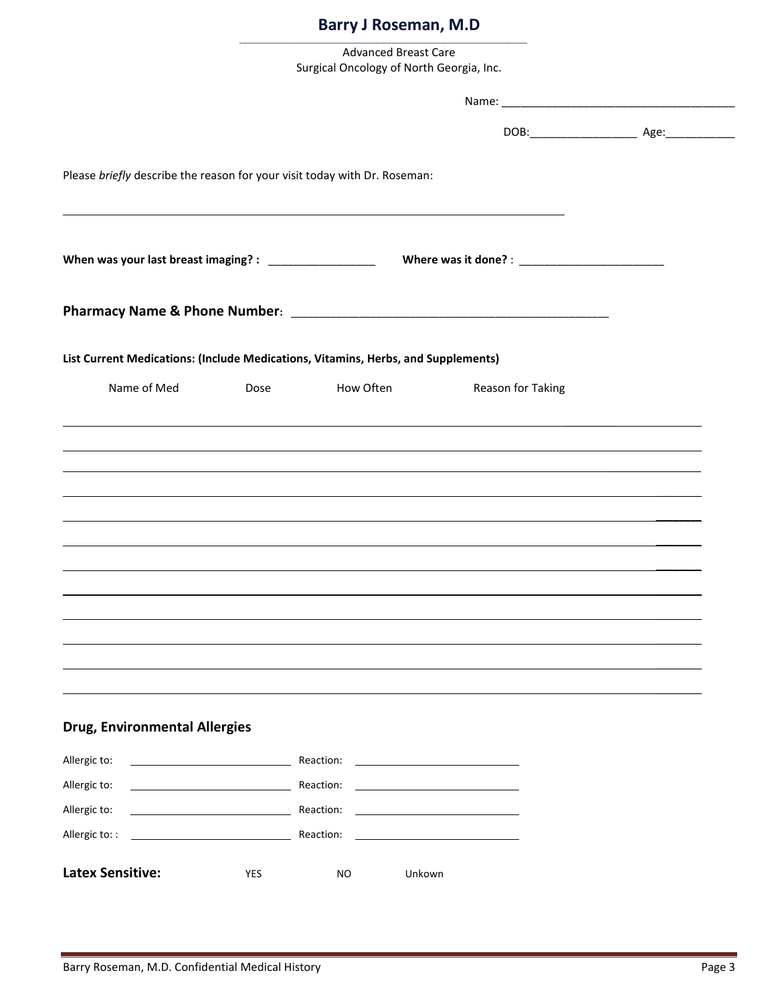| <b>Advanced Breast Care</b>              |  |
|------------------------------------------|--|
| Surgical Oncology of North Georgia, Inc. |  |

\_\_\_\_\_\_\_\_\_\_\_\_\_\_\_\_\_\_\_\_\_\_\_\_\_\_\_\_\_\_\_\_\_\_\_\_\_\_\_\_\_\_\_\_\_\_\_\_\_\_\_\_\_\_\_\_\_\_\_\_\_\_\_\_\_\_\_\_\_\_\_\_\_\_\_\_

| Please briefly describe the reason for your visit today with Dr. Roseman:<br>List Current Medications: (Include Medications, Vitamins, Herbs, and Supplements)<br>Name of Med<br>How Often<br>Dose<br>Reason for Taking<br>,我们也不会有什么。""我们的人,我们也不会有什么?""我们的人,我们也不会有什么?""我们的人,我们也不会有什么?""我们的人,我们也不会有什么?""我们的人<br>,我们也不会有什么。""我们的人,我们也不会有什么?""我们的人,我们也不会有什么?""我们的人,我们也不会有什么?""我们的人,我们也不会有什么?""我们的人<br>,我们也不会有什么。""我们的人,我们也不会有什么?""我们的人,我们也不会有什么?""我们的人,我们也不会有什么?""我们的人,我们也不会有什么?""我们的人<br><u> 1989 - Andrea Santa Andrea Santa Andrea Santa Andrea Santa Andrea Santa Andrea Santa Andrea Santa Andrea San</u><br>,我们也不会有什么?""我们的人,我们也不会有什么?""我们的人,我们也不会有什么?""我们的人,我们也不会有什么?""我们的人,我们也不会有什么?""我们的人<br><b>Drug, Environmental Allergies</b><br>Allergic to:<br><b>Example 2018</b> Reaction:<br>Allergic to:<br>Reaction:<br>Allergic to:<br>Reaction:<br><u> 1980 - Jan Barbara Barbara, mandat bashkar a shekara ta 1980 - Shekara ta 1980 - Shekara ta 1980 - Shekara t</u> |                |           |  |
|----------------------------------------------------------------------------------------------------------------------------------------------------------------------------------------------------------------------------------------------------------------------------------------------------------------------------------------------------------------------------------------------------------------------------------------------------------------------------------------------------------------------------------------------------------------------------------------------------------------------------------------------------------------------------------------------------------------------------------------------------------------------------------------------------------------------------------------------------------------------------------------------------------------------------------------------------------------------------|----------------|-----------|--|
|                                                                                                                                                                                                                                                                                                                                                                                                                                                                                                                                                                                                                                                                                                                                                                                                                                                                                                                                                                            |                |           |  |
|                                                                                                                                                                                                                                                                                                                                                                                                                                                                                                                                                                                                                                                                                                                                                                                                                                                                                                                                                                            |                |           |  |
|                                                                                                                                                                                                                                                                                                                                                                                                                                                                                                                                                                                                                                                                                                                                                                                                                                                                                                                                                                            |                |           |  |
|                                                                                                                                                                                                                                                                                                                                                                                                                                                                                                                                                                                                                                                                                                                                                                                                                                                                                                                                                                            |                |           |  |
|                                                                                                                                                                                                                                                                                                                                                                                                                                                                                                                                                                                                                                                                                                                                                                                                                                                                                                                                                                            |                |           |  |
|                                                                                                                                                                                                                                                                                                                                                                                                                                                                                                                                                                                                                                                                                                                                                                                                                                                                                                                                                                            |                |           |  |
|                                                                                                                                                                                                                                                                                                                                                                                                                                                                                                                                                                                                                                                                                                                                                                                                                                                                                                                                                                            |                |           |  |
|                                                                                                                                                                                                                                                                                                                                                                                                                                                                                                                                                                                                                                                                                                                                                                                                                                                                                                                                                                            |                |           |  |
|                                                                                                                                                                                                                                                                                                                                                                                                                                                                                                                                                                                                                                                                                                                                                                                                                                                                                                                                                                            |                |           |  |
|                                                                                                                                                                                                                                                                                                                                                                                                                                                                                                                                                                                                                                                                                                                                                                                                                                                                                                                                                                            |                |           |  |
|                                                                                                                                                                                                                                                                                                                                                                                                                                                                                                                                                                                                                                                                                                                                                                                                                                                                                                                                                                            |                |           |  |
|                                                                                                                                                                                                                                                                                                                                                                                                                                                                                                                                                                                                                                                                                                                                                                                                                                                                                                                                                                            | Allergic to: : | Reaction: |  |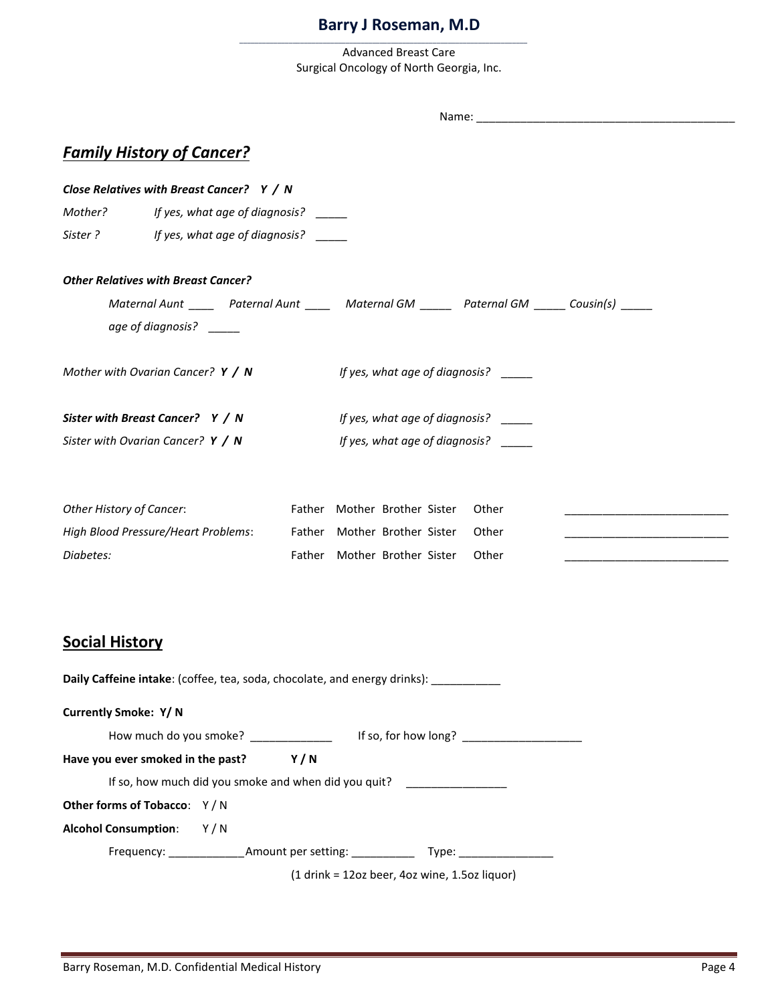\_\_\_\_\_\_\_\_\_\_\_\_\_\_\_\_\_\_\_\_\_\_\_\_\_\_\_\_\_\_\_\_\_\_\_\_\_\_\_\_\_\_\_\_\_\_\_\_\_\_\_\_\_\_\_\_\_\_\_\_\_\_\_\_\_\_\_\_\_\_\_\_\_\_\_\_

Advanced Breast Care Surgical Oncology of North Georgia, Inc.

|                             | <b>Family History of Cancer?</b>           |                                                                                                |  |
|-----------------------------|--------------------------------------------|------------------------------------------------------------------------------------------------|--|
|                             | Close Relatives with Breast Cancer? Y / N  |                                                                                                |  |
| Mother? <b>Mother</b>       | If yes, what age of diagnosis? _____       |                                                                                                |  |
|                             | Sister ? If yes, what age of diagnosis?    |                                                                                                |  |
|                             | <b>Other Relatives with Breast Cancer?</b> |                                                                                                |  |
|                             |                                            | Maternal Aunt ______ Paternal Aunt ______ Maternal GM ______ Paternal GM _____ Cousin(s) _____ |  |
|                             | age of diagnosis? _____                    |                                                                                                |  |
|                             | Mother with Ovarian Cancer? $Y / N$        | If yes, what age of diagnosis?                                                                 |  |
|                             | Sister with Breast Cancer? Y / N           | If yes, what age of diagnosis? _____                                                           |  |
|                             | Sister with Ovarian Cancer? $Y / N$        | If yes, what age of diagnosis?                                                                 |  |
| Other History of Cancer:    |                                            | Father Mother Brother Sister<br>Other                                                          |  |
|                             |                                            | High Blood Pressure/Heart Problems: Father Mother Brother Sister<br>Other                      |  |
| Diabetes:                   |                                            | Father Mother Brother Sister<br>Other                                                          |  |
| <b>Social History</b>       |                                            |                                                                                                |  |
|                             |                                            | Daily Caffeine intake: (coffee, tea, soda, chocolate, and energy drinks):                      |  |
| <b>Currently Smoke: Y/N</b> |                                            |                                                                                                |  |
|                             |                                            |                                                                                                |  |
|                             | Have you ever smoked in the past?          | Y/N                                                                                            |  |
|                             |                                            | If so, how much did you smoke and when did you quit? ___________________________               |  |
|                             | Other forms of Tobacco: Y/N                |                                                                                                |  |
|                             | Alcohol Consumption: Y/N                   |                                                                                                |  |
|                             |                                            | Frequency: __________________Amount per setting: ________________________________              |  |
|                             |                                            | (1 drink = 12oz beer, 4oz wine, 1.5oz liquor)                                                  |  |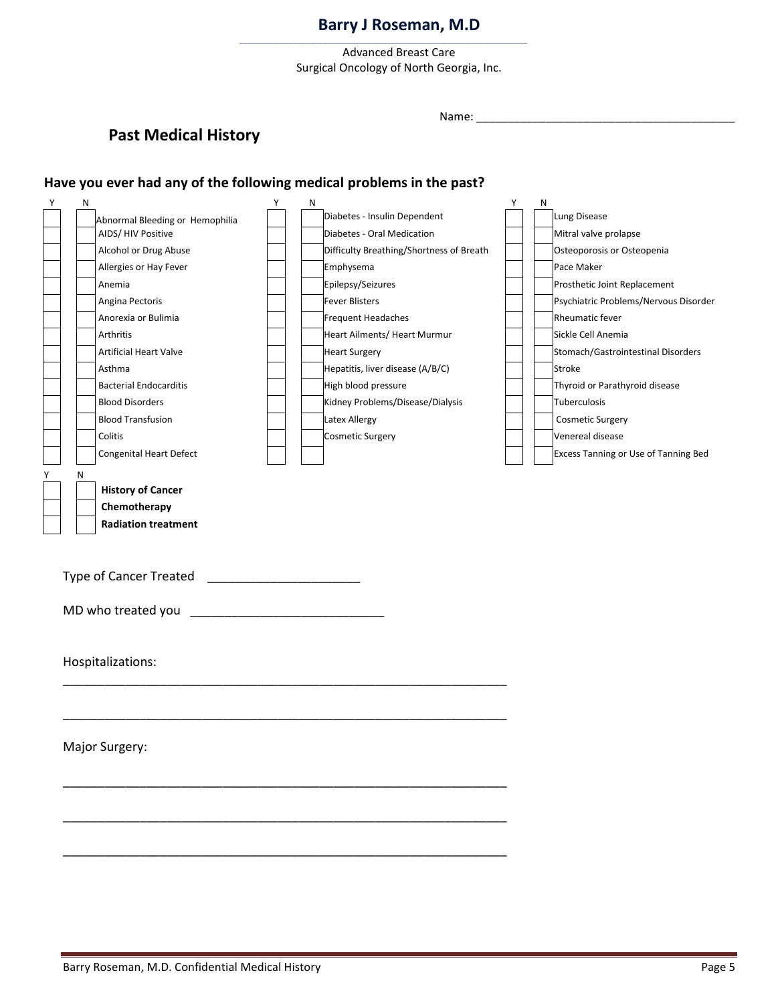\_\_\_\_\_\_\_\_\_\_\_\_\_\_\_\_\_\_\_\_\_\_\_\_\_\_\_\_\_\_\_\_\_\_\_\_\_\_\_\_\_\_\_\_\_\_\_\_\_\_\_\_\_\_\_\_\_\_\_\_\_\_\_\_\_\_\_\_\_\_\_\_\_\_\_\_

Advanced Breast Care Surgical Oncology of North Georgia, Inc.

# **Past Medical History**

Name: \_\_\_\_\_\_\_\_\_\_\_\_\_\_\_\_\_\_\_\_\_\_\_\_\_\_\_\_\_\_\_\_\_\_\_\_\_\_\_\_\_

### **Have you ever had any of the following medical problems in the past?**

| Υ | N |                                 | Υ | N                                        | Υ | N |                                       |
|---|---|---------------------------------|---|------------------------------------------|---|---|---------------------------------------|
|   |   | Abnormal Bleeding or Hemophilia |   | Diabetes - Insulin Dependent             |   |   | Lung Disease                          |
|   |   | AIDS/HIV Positive               |   | Diabetes - Oral Medication               |   |   | Mitral valve prolapse                 |
|   |   | Alcohol or Drug Abuse           |   | Difficulty Breathing/Shortness of Breath |   |   | Osteoporosis or Osteopenia            |
|   |   | Allergies or Hay Fever          |   | Emphysema                                |   |   | Pace Maker                            |
|   |   | Anemia                          |   | Epilepsy/Seizures                        |   |   | Prosthetic Joint Replacement          |
|   |   | Angina Pectoris                 |   | <b>Fever Blisters</b>                    |   |   | Psychiatric Problems/Nervous Disorder |
|   |   | Anorexia or Bulimia             |   | Frequent Headaches                       |   |   | Rheumatic fever                       |
|   |   | Arthritis                       |   | Heart Ailments/ Heart Murmur             |   |   | Sickle Cell Anemia                    |
|   |   | <b>Artificial Heart Valve</b>   |   | <b>Heart Surgery</b>                     |   |   | Stomach/Gastrointestinal Disorders    |
|   |   | Asthma                          |   | Hepatitis, liver disease (A/B/C)         |   |   | Stroke                                |
|   |   | <b>Bacterial Endocarditis</b>   |   | High blood pressure                      |   |   | Thyroid or Parathyroid disease        |
|   |   | <b>Blood Disorders</b>          |   | Kidney Problems/Disease/Dialysis         |   |   | Tuberculosis                          |
|   |   | <b>Blood Transfusion</b>        |   | Latex Allergy                            |   |   | <b>Cosmetic Surgery</b>               |
|   |   | Colitis                         |   | Cosmetic Surgery                         |   |   | Venereal disease                      |
|   |   | Congenital Heart Defect         |   |                                          |   |   | Excess Tanning or Use of Tanning Bed  |
| Υ | Ν |                                 |   |                                          |   |   |                                       |
|   |   | <b>History of Cancer</b>        |   |                                          |   |   |                                       |
|   |   | Chemotherapy                    |   |                                          |   |   |                                       |
|   |   | <b>Radiation treatment</b>      |   |                                          |   |   |                                       |
|   |   |                                 |   |                                          |   |   |                                       |
|   |   |                                 |   |                                          |   |   |                                       |
|   |   |                                 |   |                                          |   |   |                                       |
|   |   |                                 |   |                                          |   |   |                                       |
|   |   |                                 |   |                                          |   |   |                                       |
|   |   | MD who treated you              |   |                                          |   |   |                                       |
|   |   |                                 |   |                                          |   |   |                                       |
|   |   |                                 |   |                                          |   |   |                                       |
|   |   | Hospitalizations:               |   |                                          |   |   |                                       |
|   |   |                                 |   |                                          |   |   |                                       |
|   |   |                                 |   |                                          |   |   |                                       |
|   |   |                                 |   |                                          |   |   |                                       |
|   |   |                                 |   |                                          |   |   |                                       |
|   |   | Major Surgery:                  |   |                                          |   |   |                                       |
|   |   |                                 |   |                                          |   |   |                                       |
|   |   |                                 |   |                                          |   |   |                                       |
|   |   |                                 |   |                                          |   |   |                                       |
|   |   |                                 |   |                                          |   |   |                                       |
|   |   |                                 |   |                                          |   |   |                                       |
|   |   |                                 |   |                                          |   |   |                                       |
|   |   |                                 |   |                                          |   |   |                                       |
|   |   |                                 |   |                                          |   |   |                                       |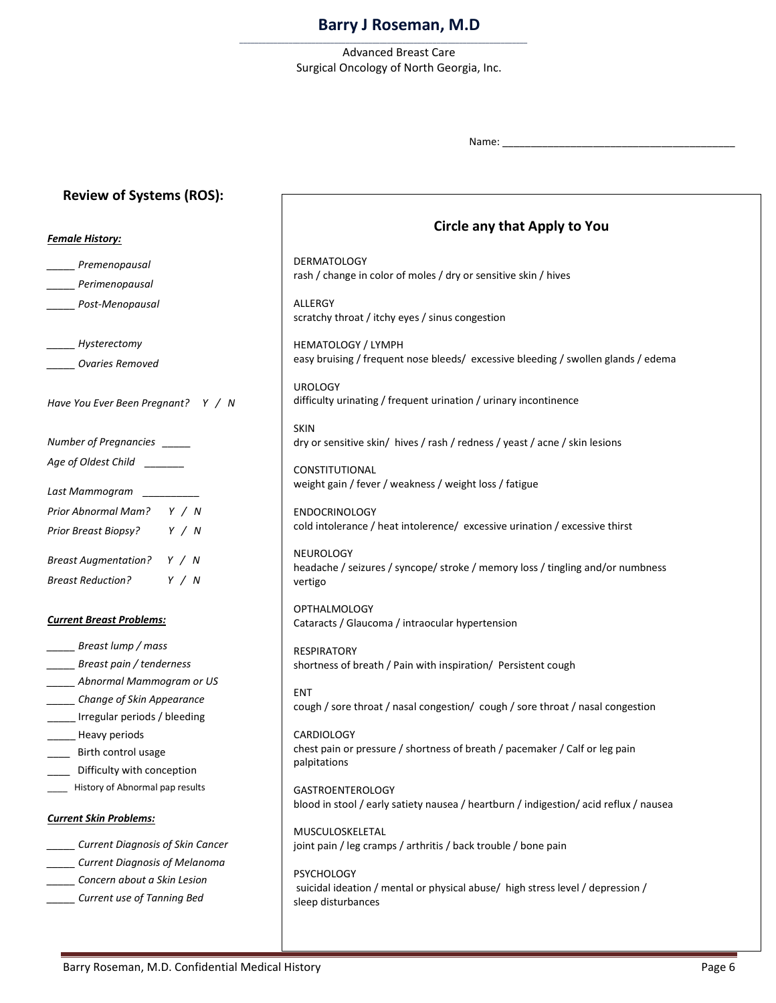Advanced Breast Care Surgical Oncology of North Georgia, Inc.

\_\_\_\_\_\_\_\_\_\_\_\_\_\_\_\_\_\_\_\_\_\_\_\_\_\_\_\_\_\_\_\_\_\_\_\_\_\_\_\_\_\_\_\_\_\_\_\_\_\_\_\_\_\_\_\_\_\_\_\_\_\_\_\_\_\_\_\_\_\_\_\_\_\_\_\_

Name:

### **Review of Systems (ROS):**

# *Female History: \_\_\_\_\_ Premenopausal \_\_\_\_\_ Perimenopausal \_\_\_\_\_ Post-Menopausal \_\_\_\_\_ Hysterectomy \_\_\_\_\_ Ovaries Removed Have You Ever Been Pregnant? Y / N Number of Pregnancies \_\_\_\_\_ Age of Oldest Child \_\_\_\_\_\_\_ Last Mammogram \_\_\_\_\_\_\_\_\_\_ Prior Abnormal Mam? Y / N Prior Breast Biopsy? Y / N Breast Augmentation? Y / N Breast Reduction? Y / N*

#### *Current Breast Problems:*

- *\_\_\_\_\_ Breast lump / mass \_\_\_\_\_ Breast pain / tenderness \_\_\_\_\_ Abnormal Mammogram or US \_\_\_\_\_ Change of Skin Appearance* \_\_\_\_\_ Irregular periods / bleeding \_\_\_\_\_ Heavy periods \_\_\_\_ Birth control usage \_\_\_\_ Difficulty with conception
- \_\_\_\_ History of Abnormal pap results

### *Current Skin Problems:*

- *\_\_\_\_\_ Current Diagnosis of Skin Cancer*
- *\_\_\_\_\_ Current Diagnosis of Melanoma*
- *\_\_\_\_\_ Concern about a Skin Lesion*
- *\_\_\_\_\_ Current use of Tanning Bed*

# **Circle any that apply: Circle any that Apply to You**

**DERMATOLOGY** rash / change in color of moles / dry or sensitive skin / hives

**ALLERGY** scratchy throat / itchy eyes / sinus congestion

HEMATOLOGY / LYMPH easy bruising / frequent nose bleeds/ excessive bleeding / swollen glands / edema

UROLOGY difficulty urinating / frequent urination / urinary incontinence

SKIN dry or sensitive skin/ hives / rash / redness / yeast / acne / skin lesions

CONSTITUTIONAL weight gain / fever / weakness / weight loss / fatigue

ENDOCRINOLOGY cold intolerance / heat intolerence/ excessive urination / excessive thirst

NEUROLOGY headache / seizures / syncope/ stroke / memory loss / tingling and/or numbness vertigo

OPTHALMOLOGY Cataracts / Glaucoma / intraocular hypertension

RESPIRATORY shortness of breath / Pain with inspiration/ Persistent cough

ENT cough / sore throat / nasal congestion/ cough / sore throat / nasal congestion

**CARDIOLOGY** chest pain or pressure / shortness of breath / pacemaker / Calf or leg pain palpitations

GASTROENTEROLOGY blood in stool / early satiety nausea / heartburn / indigestion/ acid reflux / nausea

MUSCULOSKELETAL joint pain / leg cramps / arthritis / back trouble / bone pain

**PSYCHOLOGY** suicidal ideation / mental or physical abuse/ high stress level / depression / sleep disturbances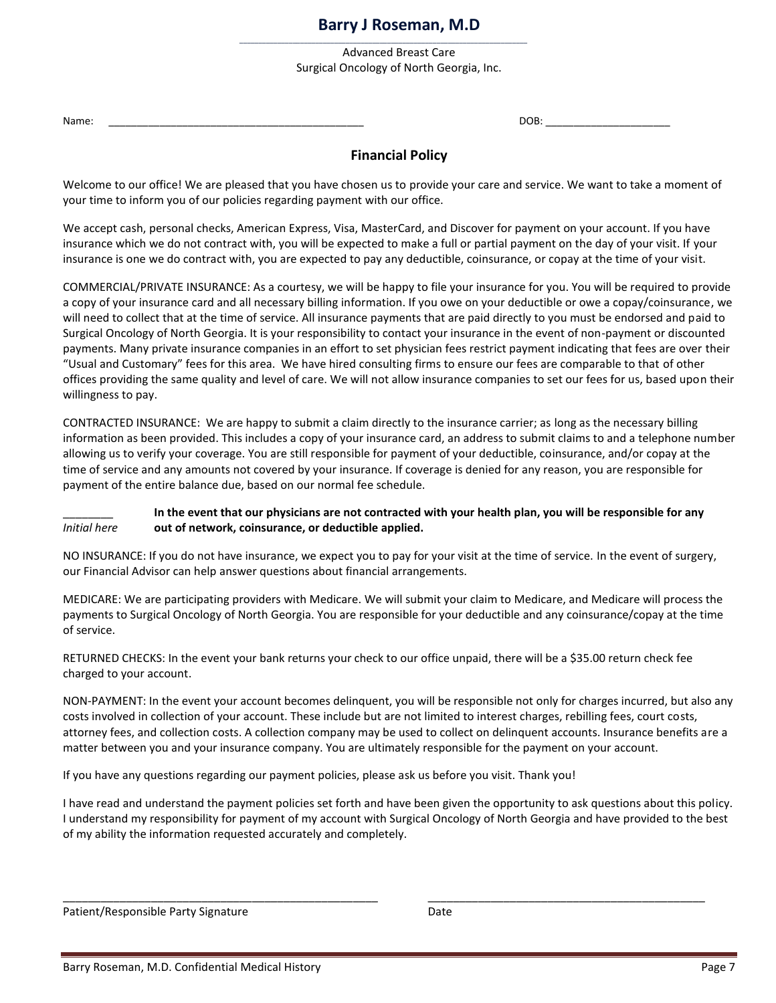Advanced Breast Care Surgical Oncology of North Georgia, Inc.

\_\_\_\_\_\_\_\_\_\_\_\_\_\_\_\_\_\_\_\_\_\_\_\_\_\_\_\_\_\_\_\_\_\_\_\_\_\_\_\_\_\_\_\_\_\_\_\_\_\_\_\_\_\_\_\_\_\_\_\_\_\_\_\_\_\_\_\_\_\_\_\_\_\_\_\_

Name: \_\_\_\_\_\_\_\_\_\_\_\_\_\_\_\_\_\_\_\_\_\_\_\_\_\_\_\_\_\_\_\_\_\_\_\_\_\_\_\_\_\_\_\_\_ DOB: \_\_\_\_\_\_\_\_\_\_\_\_\_\_\_\_\_\_\_\_\_\_

### **Financial Policy**

Welcome to our office! We are pleased that you have chosen us to provide your care and service. We want to take a moment of your time to inform you of our policies regarding payment with our office.

We accept cash, personal checks, American Express, Visa, MasterCard, and Discover for payment on your account. If you have insurance which we do not contract with, you will be expected to make a full or partial payment on the day of your visit. If your insurance is one we do contract with, you are expected to pay any deductible, coinsurance, or copay at the time of your visit.

COMMERCIAL/PRIVATE INSURANCE: As a courtesy, we will be happy to file your insurance for you. You will be required to provide a copy of your insurance card and all necessary billing information. If you owe on your deductible or owe a copay/coinsurance, we will need to collect that at the time of service. All insurance payments that are paid directly to you must be endorsed and paid to Surgical Oncology of North Georgia. It is your responsibility to contact your insurance in the event of non-payment or discounted payments. Many private insurance companies in an effort to set physician fees restrict payment indicating that fees are over their "Usual and Customary" fees for this area. We have hired consulting firms to ensure our fees are comparable to that of other offices providing the same quality and level of care. We will not allow insurance companies to set our fees for us, based upon their willingness to pay.

CONTRACTED INSURANCE: We are happy to submit a claim directly to the insurance carrier; as long as the necessary billing information as been provided. This includes a copy of your insurance card, an address to submit claims to and a telephone number allowing us to verify your coverage. You are still responsible for payment of your deductible, coinsurance, and/or copay at the time of service and any amounts not covered by your insurance. If coverage is denied for any reason, you are responsible for payment of the entire balance due, based on our normal fee schedule.

### \_\_\_\_\_\_\_\_ **In the event that our physicians are not contracted with your health plan, you will be responsible for any**  *Initial here* **out of network, coinsurance, or deductible applied.**

NO INSURANCE: If you do not have insurance, we expect you to pay for your visit at the time of service. In the event of surgery, our Financial Advisor can help answer questions about financial arrangements.

MEDICARE: We are participating providers with Medicare. We will submit your claim to Medicare, and Medicare will process the payments to Surgical Oncology of North Georgia. You are responsible for your deductible and any coinsurance/copay at the time of service.

RETURNED CHECKS: In the event your bank returns your check to our office unpaid, there will be a \$35.00 return check fee charged to your account.

NON-PAYMENT: In the event your account becomes delinquent, you will be responsible not only for charges incurred, but also any costs involved in collection of your account. These include but are not limited to interest charges, rebilling fees, court costs, attorney fees, and collection costs. A collection company may be used to collect on delinquent accounts. Insurance benefits are a matter between you and your insurance company. You are ultimately responsible for the payment on your account.

If you have any questions regarding our payment policies, please ask us before you visit. Thank you!

I have read and understand the payment policies set forth and have been given the opportunity to ask questions about this policy. I understand my responsibility for payment of my account with Surgical Oncology of North Georgia and have provided to the best of my ability the information requested accurately and completely.

\_\_\_\_\_\_\_\_\_\_\_\_\_\_\_\_\_\_\_\_\_\_\_\_\_\_\_\_\_\_\_\_\_\_\_\_\_\_\_\_\_\_\_\_\_\_\_\_\_\_ \_\_\_\_\_\_\_\_\_\_\_\_\_\_\_\_\_\_\_\_\_\_\_\_\_\_\_\_\_\_\_\_\_\_\_\_\_\_\_\_\_\_\_\_

| Patient/Responsible Party Signature | Date |
|-------------------------------------|------|
|-------------------------------------|------|